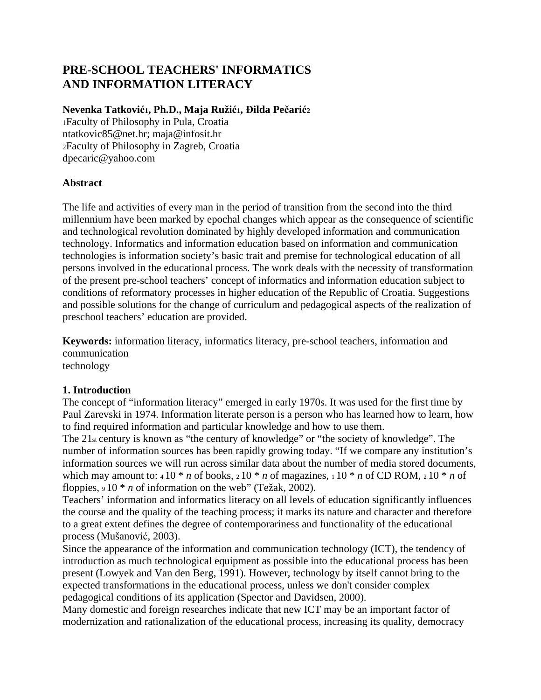# **PRE-SCHOOL TEACHERS' INFORMATICS AND INFORMATION LITERACY**

#### **Nevenka Tatković1, Ph.D., Maja Ružić1, Đilda Pečarić<sup>2</sup>**

1Faculty of Philosophy in Pula, Croatia ntatkovic85@net.hr; maja@infosit.hr 2Faculty of Philosophy in Zagreb, Croatia dpecaric@yahoo.com

### **Abstract**

The life and activities of every man in the period of transition from the second into the third millennium have been marked by epochal changes which appear as the consequence of scientific and technological revolution dominated by highly developed information and communication technology. Informatics and information education based on information and communication technologies is information society's basic trait and premise for technological education of all persons involved in the educational process. The work deals with the necessity of transformation of the present pre-school teachers' concept of informatics and information education subject to conditions of reformatory processes in higher education of the Republic of Croatia. Suggestions and possible solutions for the change of curriculum and pedagogical aspects of the realization of preschool teachers' education are provided.

**Keywords:** information literacy, informatics literacy, pre-school teachers, information and communication technology

#### **1. Introduction**

The concept of "information literacy" emerged in early 1970s. It was used for the first time by Paul Zarevski in 1974. Information literate person is a person who has learned how to learn, how to find required information and particular knowledge and how to use them.

The 21<sub>st</sub> century is known as "the century of knowledge" or "the society of knowledge". The number of information sources has been rapidly growing today. "If we compare any institution's information sources we will run across similar data about the number of media stored documents, which may amount to:  $410 * n$  of books,  $210 * n$  of magazines,  $110 * n$  of CD ROM,  $210 * n$  of floppies,  $910 * n$  of information on the web" (Težak, 2002).

Teachers' information and informatics literacy on all levels of education significantly influences the course and the quality of the teaching process; it marks its nature and character and therefore to a great extent defines the degree of contemporariness and functionality of the educational process (Mušanović, 2003).

Since the appearance of the information and communication technology (ICT), the tendency of introduction as much technological equipment as possible into the educational process has been present (Lowyek and Van den Berg, 1991). However, technology by itself cannot bring to the expected transformations in the educational process, unless we don't consider complex pedagogical conditions of its application (Spector and Davidsen, 2000).

Many domestic and foreign researches indicate that new ICT may be an important factor of modernization and rationalization of the educational process, increasing its quality, democracy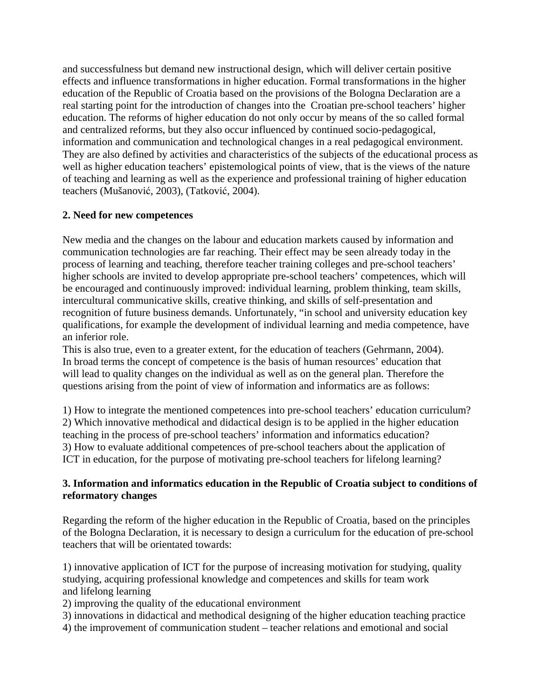and successfulness but demand new instructional design, which will deliver certain positive effects and influence transformations in higher education. Formal transformations in the higher education of the Republic of Croatia based on the provisions of the Bologna Declaration are a real starting point for the introduction of changes into the Croatian pre-school teachers' higher education. The reforms of higher education do not only occur by means of the so called formal and centralized reforms, but they also occur influenced by continued socio-pedagogical, information and communication and technological changes in a real pedagogical environment. They are also defined by activities and characteristics of the subjects of the educational process as well as higher education teachers' epistemological points of view, that is the views of the nature of teaching and learning as well as the experience and professional training of higher education teachers (Mušanović, 2003), (Tatković, 2004).

#### **2. Need for new competences**

New media and the changes on the labour and education markets caused by information and communication technologies are far reaching. Their effect may be seen already today in the process of learning and teaching, therefore teacher training colleges and pre-school teachers' higher schools are invited to develop appropriate pre-school teachers' competences, which will be encouraged and continuously improved: individual learning, problem thinking, team skills, intercultural communicative skills, creative thinking, and skills of self-presentation and recognition of future business demands. Unfortunately, "in school and university education key qualifications, for example the development of individual learning and media competence, have an inferior role.

This is also true, even to a greater extent, for the education of teachers (Gehrmann, 2004). In broad terms the concept of competence is the basis of human resources' education that will lead to quality changes on the individual as well as on the general plan. Therefore the questions arising from the point of view of information and informatics are as follows:

1) How to integrate the mentioned competences into pre-school teachers' education curriculum? 2) Which innovative methodical and didactical design is to be applied in the higher education teaching in the process of pre-school teachers' information and informatics education? 3) How to evaluate additional competences of pre-school teachers about the application of ICT in education, for the purpose of motivating pre-school teachers for lifelong learning?

#### **3. Information and informatics education in the Republic of Croatia subject to conditions of reformatory changes**

Regarding the reform of the higher education in the Republic of Croatia, based on the principles of the Bologna Declaration, it is necessary to design a curriculum for the education of pre-school teachers that will be orientated towards:

1) innovative application of ICT for the purpose of increasing motivation for studying, quality studying, acquiring professional knowledge and competences and skills for team work and lifelong learning

2) improving the quality of the educational environment

- 3) innovations in didactical and methodical designing of the higher education teaching practice
- 4) the improvement of communication student teacher relations and emotional and social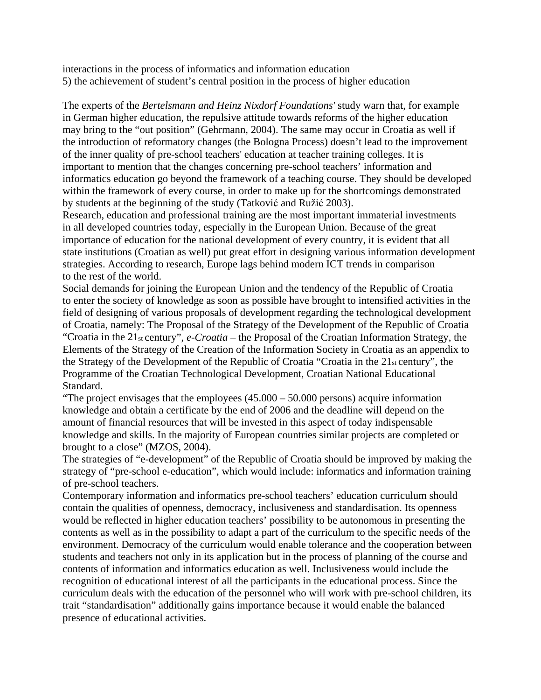interactions in the process of informatics and information education 5) the achievement of student's central position in the process of higher education

The experts of the *Bertelsmann and Heinz Nixdorf Foundations'* study warn that, for example in German higher education, the repulsive attitude towards reforms of the higher education may bring to the "out position" (Gehrmann, 2004). The same may occur in Croatia as well if the introduction of reformatory changes (the Bologna Process) doesn't lead to the improvement of the inner quality of pre-school teachers' education at teacher training colleges. It is important to mention that the changes concerning pre-school teachers' information and informatics education go beyond the framework of a teaching course. They should be developed within the framework of every course, in order to make up for the shortcomings demonstrated by students at the beginning of the study (Tatković and Ružić 2003).

Research, education and professional training are the most important immaterial investments in all developed countries today, especially in the European Union. Because of the great importance of education for the national development of every country, it is evident that all state institutions (Croatian as well) put great effort in designing various information development strategies. According to research, Europe lags behind modern ICT trends in comparison to the rest of the world.

Social demands for joining the European Union and the tendency of the Republic of Croatia to enter the society of knowledge as soon as possible have brought to intensified activities in the field of designing of various proposals of development regarding the technological development of Croatia, namely: The Proposal of the Strategy of the Development of the Republic of Croatia "Croatia in the 21st century", *e-Croatia* – the Proposal of the Croatian Information Strategy, the Elements of the Strategy of the Creation of the Information Society in Croatia as an appendix to the Strategy of the Development of the Republic of Croatia "Croatia in the 21st century", the Programme of the Croatian Technological Development, Croatian National Educational Standard.

"The project envisages that the employees (45.000 – 50.000 persons) acquire information knowledge and obtain a certificate by the end of 2006 and the deadline will depend on the amount of financial resources that will be invested in this aspect of today indispensable knowledge and skills. In the majority of European countries similar projects are completed or brought to a close" (MZOS, 2004).

The strategies of "e-development" of the Republic of Croatia should be improved by making the strategy of "pre-school e-education", which would include: informatics and information training of pre-school teachers.

Contemporary information and informatics pre-school teachers' education curriculum should contain the qualities of openness, democracy, inclusiveness and standardisation. Its openness would be reflected in higher education teachers' possibility to be autonomous in presenting the contents as well as in the possibility to adapt a part of the curriculum to the specific needs of the environment. Democracy of the curriculum would enable tolerance and the cooperation between students and teachers not only in its application but in the process of planning of the course and contents of information and informatics education as well. Inclusiveness would include the recognition of educational interest of all the participants in the educational process. Since the curriculum deals with the education of the personnel who will work with pre-school children, its trait "standardisation" additionally gains importance because it would enable the balanced presence of educational activities.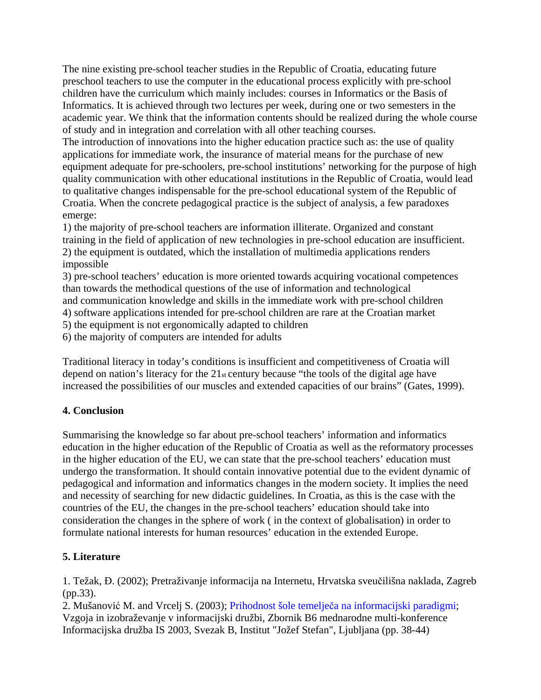The nine existing pre-school teacher studies in the Republic of Croatia, educating future preschool teachers to use the computer in the educational process explicitly with pre-school children have the curriculum which mainly includes: courses in Informatics or the Basis of Informatics. It is achieved through two lectures per week, during one or two semesters in the academic year. We think that the information contents should be realized during the whole course of study and in integration and correlation with all other teaching courses.

The introduction of innovations into the higher education practice such as: the use of quality applications for immediate work, the insurance of material means for the purchase of new equipment adequate for pre-schoolers, pre-school institutions' networking for the purpose of high quality communication with other educational institutions in the Republic of Croatia, would lead to qualitative changes indispensable for the pre-school educational system of the Republic of Croatia. When the concrete pedagogical practice is the subject of analysis, a few paradoxes emerge:

1) the majority of pre-school teachers are information illiterate. Organized and constant training in the field of application of new technologies in pre-school education are insufficient. 2) the equipment is outdated, which the installation of multimedia applications renders impossible

3) pre-school teachers' education is more oriented towards acquiring vocational competences than towards the methodical questions of the use of information and technological and communication knowledge and skills in the immediate work with pre-school children 4) software applications intended for pre-school children are rare at the Croatian market

5) the equipment is not ergonomically adapted to children

6) the majority of computers are intended for adults

Traditional literacy in today's conditions is insufficient and competitiveness of Croatia will depend on nation's literacy for the 21st century because "the tools of the digital age have increased the possibilities of our muscles and extended capacities of our brains" (Gates, 1999).

#### **4. Conclusion**

Summarising the knowledge so far about pre-school teachers' information and informatics education in the higher education of the Republic of Croatia as well as the reformatory processes in the higher education of the EU, we can state that the pre-school teachers' education must undergo the transformation. It should contain innovative potential due to the evident dynamic of pedagogical and information and informatics changes in the modern society. It implies the need and necessity of searching for new didactic guidelines. In Croatia, as this is the case with the countries of the EU, the changes in the pre-school teachers' education should take into consideration the changes in the sphere of work ( in the context of globalisation) in order to formulate national interests for human resources' education in the extended Europe.

## **5. Literature**

1. Težak, Đ. (2002); Pretraživanje informacija na Internetu, Hrvatska sveučilišna naklada, Zagreb (pp.33).

2. Mušanović M. and Vrcelj S. (2003); Prihodnost šole temelječa na informacijski paradigmi; Vzgoja in izobraževanje v informacijski družbi, Zbornik B6 mednarodne multi-konference Informacijska družba IS 2003, Svezak B, Institut "Jožef Stefan", Ljubljana (pp. 38-44)